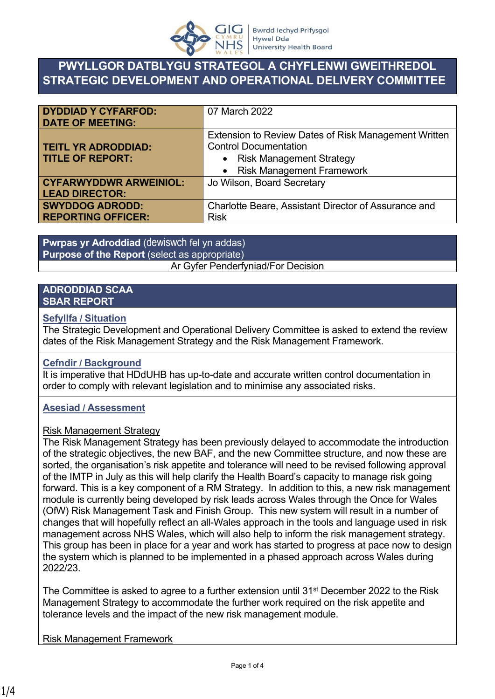

## **PWYLLGOR DATBLYGU STRATEGOL A CHYFLENWI GWEITHREDOL STRATEGIC DEVELOPMENT AND OPERATIONAL DELIVERY COMMITTEE**

| <b>DYDDIAD Y CYFARFOD:</b><br><b>DATE OF MEETING:</b> | 07 March 2022                                                                        |  |  |  |
|-------------------------------------------------------|--------------------------------------------------------------------------------------|--|--|--|
| <b>TEITL YR ADRODDIAD:</b>                            | Extension to Review Dates of Risk Management Written<br><b>Control Documentation</b> |  |  |  |
|                                                       |                                                                                      |  |  |  |
| <b>TITLE OF REPORT:</b>                               | • Risk Management Strategy                                                           |  |  |  |
|                                                       | • Risk Management Framework                                                          |  |  |  |
| <b>CYFARWYDDWR ARWEINIOL:</b>                         | Jo Wilson, Board Secretary                                                           |  |  |  |
| <b>LEAD DIRECTOR:</b>                                 |                                                                                      |  |  |  |
| <b>SWYDDOG ADRODD:</b>                                | Charlotte Beare, Assistant Director of Assurance and                                 |  |  |  |
| <b>REPORTING OFFICER:</b>                             | <b>Risk</b>                                                                          |  |  |  |

**Pwrpas yr Adroddiad** (dewiswch fel yn addas) **Purpose of the Report** (select as appropriate) Ar Gyfer Penderfyniad/For Decision

#### **ADRODDIAD SCAA SBAR REPORT**

#### **Sefyllfa / Situation**

The Strategic Development and Operational Delivery Committee is asked to extend the review dates of the Risk Management Strategy and the Risk Management Framework.

#### **Cefndir / Background**

It is imperative that HDdUHB has up-to-date and accurate written control documentation in order to comply with relevant legislation and to minimise any associated risks.

#### **Asesiad / Assessment**

#### Risk Management Strategy

The Risk Management Strategy has been previously delayed to accommodate the introduction of the strategic objectives, the new BAF, and the new Committee structure, and now these are sorted, the organisation's risk appetite and tolerance will need to be revised following approval of the IMTP in July as this will help clarify the Health Board's capacity to manage risk going forward. This is a key component of a RM Strategy. In addition to this, a new risk management module is currently being developed by risk leads across Wales through the Once for Wales (OfW) Risk Management Task and Finish Group. This new system will result in a number of changes that will hopefully reflect an all-Wales approach in the tools and language used in risk management across NHS Wales, which will also help to inform the risk management strategy. This group has been in place for a year and work has started to progress at pace now to design the system which is planned to be implemented in a phased approach across Wales during 2022/23.

The Committee is asked to agree to a further extension until  $31<sup>st</sup>$  December 2022 to the Risk Management Strategy to accommodate the further work required on the risk appetite and tolerance levels and the impact of the new risk management module.

Risk Management Framework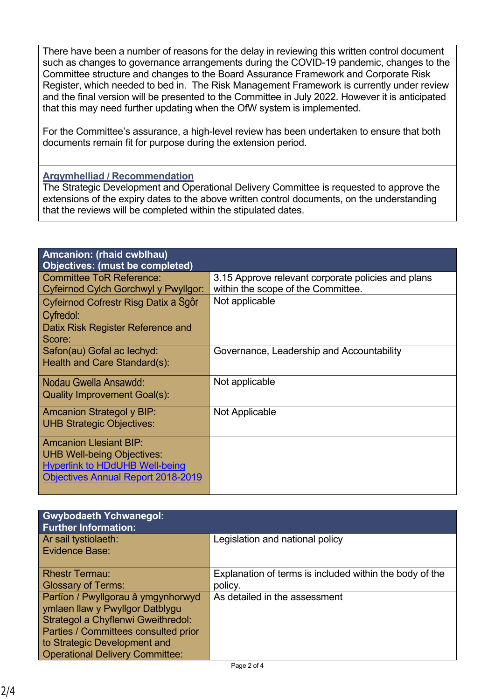There have been a number of reasons for the delay in reviewing this written control document such as changes to governance arrangements during the COVID-19 pandemic, changes to the Committee structure and changes to the Board Assurance Framework and Corporate Risk Register, which needed to bed in. The Risk Management Framework is currently under review and the final version will be presented to the Committee in July 2022. However it is anticipated that this may need further updating when the OfW system is implemented.

For the Committee's assurance, a high-level review has been undertaken to ensure that both documents remain fit for purpose during the extension period.

### **Argymhelliad / Recommendation**

The Strategic Development and Operational Delivery Committee is requested to approve the extensions of the expiry dates to the above written control documents, on the understanding that the reviews will be completed within the stipulated dates.

| Amcanion: (rhaid cwblhau)<br>Objectives: (must be completed) |                                                    |  |  |  |
|--------------------------------------------------------------|----------------------------------------------------|--|--|--|
| <b>Committee ToR Reference:</b>                              | 3.15 Approve relevant corporate policies and plans |  |  |  |
| Cyfeirnod Cylch Gorchwyl y Pwyllgor:                         | within the scope of the Committee.                 |  |  |  |
| Cyfeirnod Cofrestr Risg Datix a Sgôr                         | Not applicable                                     |  |  |  |
| Cyfredol:                                                    |                                                    |  |  |  |
| Datix Risk Register Reference and                            |                                                    |  |  |  |
| Score:                                                       |                                                    |  |  |  |
| Safon(au) Gofal ac lechyd:                                   | Governance, Leadership and Accountability          |  |  |  |
| Health and Care Standard(s):                                 |                                                    |  |  |  |
| Nodau Gwella Ansawdd:                                        | Not applicable                                     |  |  |  |
| Quality Improvement Goal(s):                                 |                                                    |  |  |  |
| <b>Amcanion Strategol y BIP:</b>                             | Not Applicable                                     |  |  |  |
| <b>UHB Strategic Objectives:</b>                             |                                                    |  |  |  |
| <b>Amcanion Llesiant BIP:</b>                                |                                                    |  |  |  |
| <b>UHB Well-being Objectives:</b>                            |                                                    |  |  |  |
| <b>Hyperlink to HDdUHB Well-being</b>                        |                                                    |  |  |  |
| <b>Objectives Annual Report 2018-2019</b>                    |                                                    |  |  |  |

| <b>Gwybodaeth Ychwanegol:</b><br><b>Further Information:</b> |                                                         |  |  |
|--------------------------------------------------------------|---------------------------------------------------------|--|--|
| Ar sail tystiolaeth:                                         | Legislation and national policy                         |  |  |
| <b>Evidence Base:</b>                                        |                                                         |  |  |
| <b>Rhestr Termau:</b>                                        | Explanation of terms is included within the body of the |  |  |
| <b>Glossary of Terms:</b>                                    | policy.                                                 |  |  |
| Partïon / Pwyllgorau â ymgynhorwyd                           | As detailed in the assessment                           |  |  |
| ymlaen llaw y Pwyllgor Datblygu                              |                                                         |  |  |
| Strategol a Chyflenwi Gweithredol:                           |                                                         |  |  |
| Parties / Committees consulted prior                         |                                                         |  |  |
| to Strategic Development and                                 |                                                         |  |  |
| <b>Operational Delivery Committee:</b>                       | $\sim$ $\sim$ $\sim$                                    |  |  |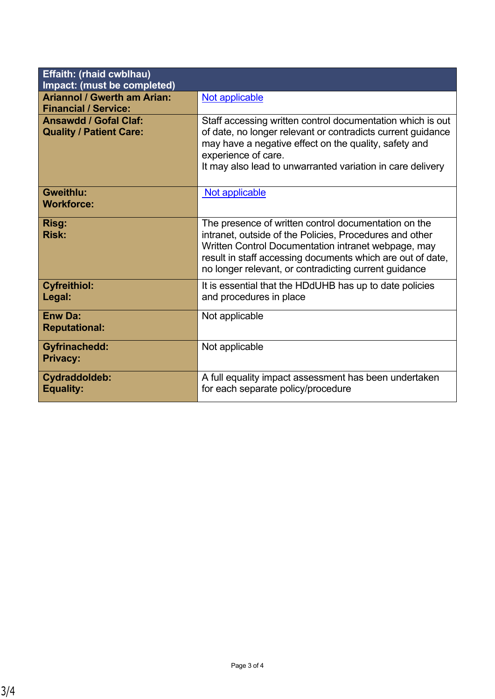| <b>Effaith: (rhaid cwblhau)</b><br>Impact: (must be completed)    |                                                                                                                                                                                                                                                                                               |  |  |  |
|-------------------------------------------------------------------|-----------------------------------------------------------------------------------------------------------------------------------------------------------------------------------------------------------------------------------------------------------------------------------------------|--|--|--|
| <b>Ariannol / Gwerth am Arian:</b><br><b>Financial / Service:</b> | Not applicable                                                                                                                                                                                                                                                                                |  |  |  |
| <b>Ansawdd / Gofal Claf:</b><br><b>Quality / Patient Care:</b>    | Staff accessing written control documentation which is out<br>of date, no longer relevant or contradicts current guidance<br>may have a negative effect on the quality, safety and<br>experience of care.<br>It may also lead to unwarranted variation in care delivery                       |  |  |  |
| <b>Gweithlu:</b><br><b>Workforce:</b>                             | Not applicable                                                                                                                                                                                                                                                                                |  |  |  |
| Risg:<br><b>Risk:</b>                                             | The presence of written control documentation on the<br>intranet, outside of the Policies, Procedures and other<br>Written Control Documentation intranet webpage, may<br>result in staff accessing documents which are out of date,<br>no longer relevant, or contradicting current guidance |  |  |  |
| <b>Cyfreithiol:</b><br>Legal:                                     | It is essential that the HDdUHB has up to date policies<br>and procedures in place                                                                                                                                                                                                            |  |  |  |
| <b>Enw Da:</b><br><b>Reputational:</b>                            | Not applicable                                                                                                                                                                                                                                                                                |  |  |  |
| <b>Gyfrinachedd:</b><br><b>Privacy:</b>                           | Not applicable                                                                                                                                                                                                                                                                                |  |  |  |
| Cydraddoldeb:<br><b>Equality:</b>                                 | A full equality impact assessment has been undertaken<br>for each separate policy/procedure                                                                                                                                                                                                   |  |  |  |